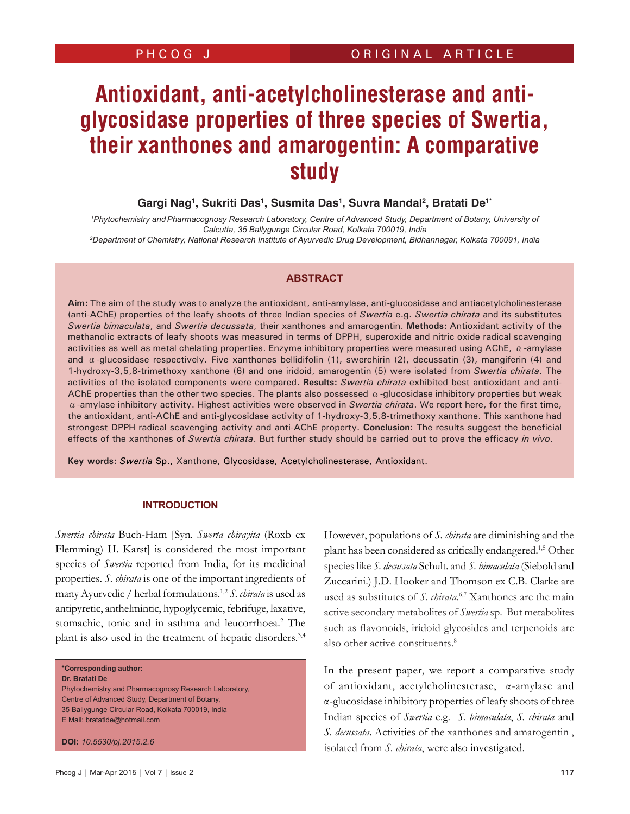# **Antioxidant, anti-acetylcholinesterase and antiglycosidase properties of three species of Swertia, their xanthones and amarogentin: A comparative study**

# Gargi Nag<sup>1</sup>, Sukriti Das<sup>1</sup>, Susmita Das<sup>1</sup>, Suvra Mandal<sup>2</sup>, Bratati De<sup>1\*</sup>

<sup>1</sup> Phytochemistry and Pharmacognosy Research Laboratory, Centre of Advanced Study, Department of Botany, University of *Calcutta, 35 Ballygunge Circular Road, Kolkata 700019, India*

*2 Department of Chemistry, National Research Institute of Ayurvedic Drug Development, Bidhannagar, Kolkata 700091, India*

# **ABSTRACT**

**Aim:** The aim of the study was to analyze the antioxidant, anti-amylase, anti-glucosidase and antiacetylcholinesterase (anti-AChE) properties of the leafy shoots of three Indian species of *Swertia* e.g. *Swertia chirata* and its substitutes *Swertia bimaculata*, and *Swertia decussata*, their xanthones and amarogentin. **Methods:** Antioxidant activity of the methanolic extracts of leafy shoots was measured in terms of DPPH, superoxide and nitric oxide radical scavenging activities as well as metal chelating properties. Enzyme inhibitory properties were measured using AChE,  $\alpha$ -amylase and  $\alpha$ -glucosidase respectively. Five xanthones bellidifolin (1), swerchirin (2), decussatin (3), mangiferin (4) and 1-hydroxy-3,5,8-trimethoxy xanthone (6) and one iridoid, amarogentin (5) were isolated from *Swertia chirata*. The activities of the isolated components were compared. **Results:** *Swertia chirata* exhibited best antioxidant and anti-AChE properties than the other two species. The plants also possessed  $\alpha$ -glucosidase inhibitory properties but weak α-amylase inhibitory activity. Highest activities were observed in *Swertia chirata*. We report here, for the first time, the antioxidant, anti-AChE and anti-glycosidase activity of 1-hydroxy-3,5,8-trimethoxy xanthone. This xanthone had strongest DPPH radical scavenging activity and anti-AChE property. **Conclusion**: The results suggest the beneficial effects of the xanthones of *Swertia chirata*. But further study should be carried out to prove the efficacy *in vivo*.

**Key words:** *Swertia* Sp., Xanthone, Glycosidase, Acetylcholinesterase, Antioxidant.

## **INTRODUCTION**

*Swertia chirata* Buch-Ham [Syn. *Swerta chirayita* (Roxb ex Flemming) H. Karst] is considered the most important species of *Swertia* reported from India, for its medicinal properties. *S. chirata* is one of the important ingredients of many Ayurvedic / herbal formulations.1,2 *S. chirata* is used as antipyretic, anthelmintic, hypoglycemic, febrifuge, laxative, stomachic, tonic and in asthma and leucorrhoea.<sup>2</sup> The plant is also used in the treatment of hepatic disorders.<sup>3,4</sup>

**\*Corresponding author:**

**Dr. Bratati De**

Phytochemistry and Pharmacognosy Research Laboratory, Centre of Advanced Study, Department of Botany, 35 Ballygunge Circular Road, Kolkata 700019, India E Mail: bratatide@hotmail.com

**DOI:** *10.5530/pj.2015.2.6*

However, populations of *S. chirata* are diminishing and the plant has been considered as critically endangered.1,5 Other species like *S. decussata* Schult. and *S. bimaculata* (Siebold and Zuccarini.) J.D. Hooker and Thomson ex C.B. Clarke are used as substitutes of *S. chirata.*6,7 Xanthones are the main active secondary metabolites of *Swertia* sp. But metabolites such as flavonoids, iridoid glycosides and terpenoids are also other active constituents.<sup>8</sup>

In the present paper, we report a comparative study of antioxidant, acetylcholinesterase, α-amylase and α-glucosidase inhibitory properties of leafy shoots of three Indian species of *Swertia* e.g. *S. bimaculata*, *S. chirata* and *S. decussata*. Activities of the xanthones and amarogentin , isolated from *S. chirata*, were also investigated.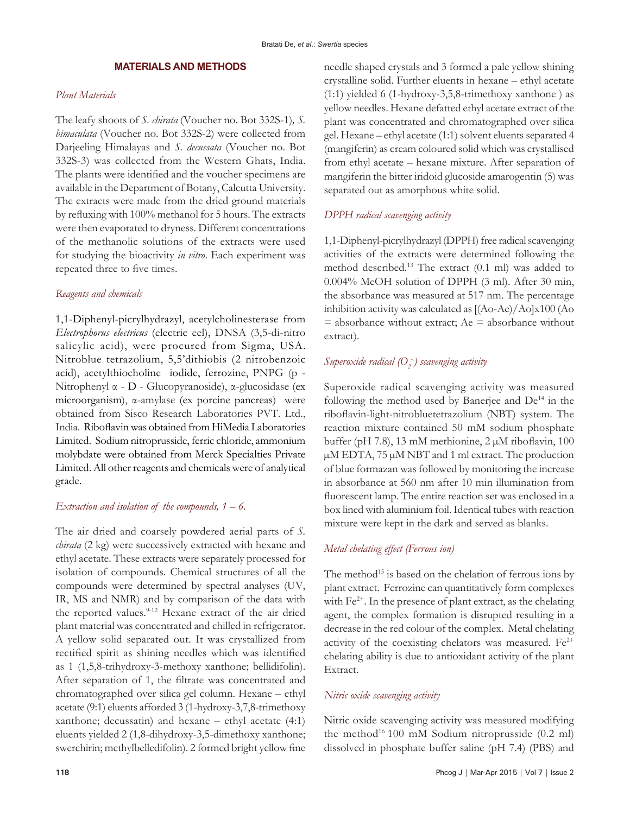## **MATERIALS AND METHODS**

# *Plant Materials*

The leafy shoots of *S. chirata* (Voucher no. Bot 332S-1)*, S. bimaculata* (Voucher no. Bot 332S-2) were collected from Darjeeling Himalayas and *S. decussata* (Voucher no. Bot 332S-3) was collected from the Western Ghats, India. The plants were identified and the voucher specimens are available in the Department of Botany, Calcutta University. The extracts were made from the dried ground materials by refluxing with 100% methanol for 5 hours. The extracts were then evaporated to dryness. Different concentrations of the methanolic solutions of the extracts were used for studying the bioactivity *in vitro*. Each experiment was repeated three to five times.

# *Reagents and chemicals*

1,1-Diphenyl-picrylhydrazyl, acetylcholinesterase from *Electrophorus electricus* (electric eel), DNSA (3,5-di-nitro salicylic acid), were procured from Sigma, USA. Nitroblue tetrazolium, 5,5'dithiobis (2 nitrobenzoic acid), acetylthiocholine iodide, ferrozine, PNPG (p - Nitrophenyl α - D - Glucopyranoside), α-glucosidase (ex microorganism), α-amylase (ex porcine pancreas) were obtained from Sisco Research Laboratories PVT. Ltd., India. Riboflavin was obtained from HiMedia Laboratories Limited. Sodium nitroprusside, ferric chloride, ammonium molybdate were obtained from Merck Specialties Private Limited. All other reagents and chemicals were of analytical grade.

## *Extraction and isolation of the compounds, 1 – 6.*

The air dried and coarsely powdered aerial parts of *S. chirata* (2 kg) were successively extracted with hexane and ethyl acetate. These extracts were separately processed for isolation of compounds. Chemical structures of all the compounds were determined by spectral analyses (UV, IR, MS and NMR) and by comparison of the data with the reported values.<sup>9-12</sup> Hexane extract of the air dried plant material was concentrated and chilled in refrigerator. A yellow solid separated out. It was crystallized from rectified spirit as shining needles which was identified as 1 (1,5,8-trihydroxy-3-methoxy xanthone; bellidifolin). After separation of 1, the filtrate was concentrated and chromatographed over silica gel column. Hexane – ethyl acetate (9:1) eluents afforded 3 (1-hydroxy-3,7,8-trimethoxy xanthone; decussatin) and hexane – ethyl acetate (4:1) eluents yielded 2 (1,8-dihydroxy-3,5-dimethoxy xanthone; swerchirin; methylbelledifolin). 2 formed bright yellow fine

needle shaped crystals and 3 formed a pale yellow shining crystalline solid. Further eluents in hexane – ethyl acetate (1:1) yielded 6 (1-hydroxy-3,5,8-trimethoxy xanthone ) as yellow needles. Hexane defatted ethyl acetate extract of the plant was concentrated and chromatographed over silica gel. Hexane – ethyl acetate (1:1) solvent eluents separated 4 (mangiferin) as cream coloured solid which was crystallised from ethyl acetate – hexane mixture. After separation of mangiferin the bitter iridoid glucoside amarogentin (5) was separated out as amorphous white solid.

# *DPPH radical scavenging activity*

1,1-Diphenyl-picrylhydrazyl (DPPH) free radical scavenging activities of the extracts were determined following the method described.13 The extract (0.1 ml) was added to 0.004% MeOH solution of DPPH (3 ml). After 30 min, the absorbance was measured at 517 nm. The percentage inhibition activity was calculated as [(Ao-Ae)/Ao]x100 (Ao  $=$  absorbance without extract; Ae  $=$  absorbance without extract).

# *Superoxide radical (O2 -.) scavenging activity*

Superoxide radical scavenging activity was measured following the method used by Banerjee and  $De<sup>14</sup>$  in the riboflavin-light-nitrobluetetrazolium (NBT) system. The reaction mixture contained 50 mM sodium phosphate buffer (pH 7.8), 13 mM methionine, 2 µM riboflavin, 100 µM EDTA, 75 µM NBT and 1 ml extract. The production of blue formazan was followed by monitoring the increase in absorbance at 560 nm after 10 min illumination from fluorescent lamp. The entire reaction set was enclosed in a box lined with aluminium foil. Identical tubes with reaction mixture were kept in the dark and served as blanks.

# *Metal chelating effect (Ferrous ion)*

The method<sup>15</sup> is based on the chelation of ferrous ions by plant extract. Ferrozine can quantitatively form complexes with  $Fe<sup>2+</sup>$ . In the presence of plant extract, as the chelating agent, the complex formation is disrupted resulting in a decrease in the red colour of the complex. Metal chelating activity of the coexisting chelators was measured.  $Fe^{2+}$ chelating ability is due to antioxidant activity of the plant Extract.

# *Nitric oxide scavenging activity*

Nitric oxide scavenging activity was measured modifying the method16 100 mM Sodium nitroprusside (0.2 ml) dissolved in phosphate buffer saline (pH 7.4) (PBS) and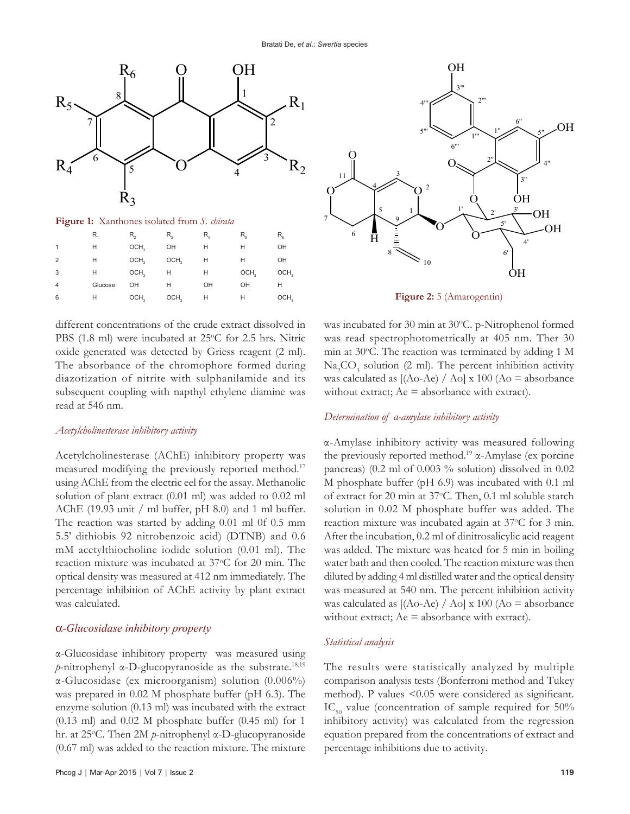

**Figure 1:** Xanthones isolated from *S. chirata*

|                | R,      | R,               | R,               | $R_{\scriptscriptstyle{4}}$ | $R_{\scriptscriptstyle\kappa}$ | $\mathsf{R}_{\scriptscriptstyle\mathsf{6}}$ |
|----------------|---------|------------------|------------------|-----------------------------|--------------------------------|---------------------------------------------|
|                | н       | OCH <sub>2</sub> | OH               | н                           | н                              | OH                                          |
| $\overline{2}$ | н       | OCH <sub>2</sub> | OCH <sub>2</sub> | н                           | н                              | OH                                          |
| 3              | н       | OCH <sub>2</sub> | н                | н                           | OCH <sub>2</sub>               | OCH <sub>3</sub>                            |
| 4              | Glucose | OH               | н                | OH                          | OH                             | н                                           |
| 6              | н       | OCH <sub>3</sub> | OCH <sub>2</sub> | Н                           | н                              | OCH <sub>3</sub>                            |

different concentrations of the crude extract dissolved in PBS (1.8 ml) were incubated at 25°C for 2.5 hrs. Nitric oxide generated was detected by Griess reagent (2 ml). The absorbance of the chromophore formed during diazotization of nitrite with sulphanilamide and its subsequent coupling with napthyl ethylene diamine was read at 546 nm.

#### *Acetylcholinesterase inhibitory activity*

Acetylcholinesterase (AChE) inhibitory property was measured modifying the previously reported method.<sup>17</sup> using AChE from the electric eel for the assay. Methanolic solution of plant extract (0.01 ml) was added to 0.02 ml AChE (19.93 unit / ml buffer, pH 8.0) and 1 ml buffer. The reaction was started by adding 0.01 ml 0f 0.5 mm 5.5′ dithiobis 92 nitrobenzoic acid) (DTNB) and 0.6 mM acetylthiocholine iodide solution (0.01 ml). The reaction mixture was incubated at 37°C for 20 min. The optical density was measured at 412 nm immediately. The percentage inhibition of AChE activity by plant extract was calculated.

#### α*-Glucosidase inhibitory property*

α-Glucosidase inhibitory property was measured using *p*-nitrophenyl α-D-glucopyranoside as the substrate.18,19 α-Glucosidase (ex microorganism) solution (0.006%) was prepared in 0.02 M phosphate buffer (pH 6.3). The enzyme solution (0.13 ml) was incubated with the extract (0.13 ml) and 0.02 M phosphate buffer (0.45 ml) for 1 hr. at 25°C. Then 2M *p*-nitrophenyl α-D-glucopyranoside (0.67 ml) was added to the reaction mixture. The mixture



**Figure 2:** 5 (Amarogentin)

was incubated for 30 min at 30ºC. p-Nitrophenol formed was read spectrophotometrically at 405 nm. Ther 30 min at 30°C. The reaction was terminated by adding 1 M  $\text{Na}_2\text{CO}_3$  solution (2 ml). The percent inhibition activity was calculated as  $[(Ao-Ae) / Ao] \times 100 (Ao = absorbance$ without extract;  $Ae =$  absorbance with extract).

# *Determination of α-amylase inhibitory activity*

α-Amylase inhibitory activity was measured following the previously reported method.19 α-Amylase (ex porcine pancreas) (0.2 ml of 0.003 % solution) dissolved in 0.02 M phosphate buffer (pH 6.9) was incubated with 0.1 ml of extract for 20 min at 37°C. Then, 0.1 ml soluble starch solution in 0.02 M phosphate buffer was added. The reaction mixture was incubated again at 37°C for 3 min. After the incubation, 0.2 ml of dinitrosalicylic acid reagent was added. The mixture was heated for 5 min in boiling water bath and then cooled. The reaction mixture was then diluted by adding 4 ml distilled water and the optical density was measured at 540 nm. The percent inhibition activity was calculated as  $[(Ao-Ae) / Ao] \times 100 (Ao = absorbance)$ without extract; Ae = absorbance with extract).

#### *Statistical analysis*

The results were statistically analyzed by multiple comparison analysis tests (Bonferroni method and Tukey method). P values <0.05 were considered as significant.  $IC_{\epsilon_0}$  value (concentration of sample required for 50% inhibitory activity) was calculated from the regression equation prepared from the concentrations of extract and percentage inhibitions due to activity.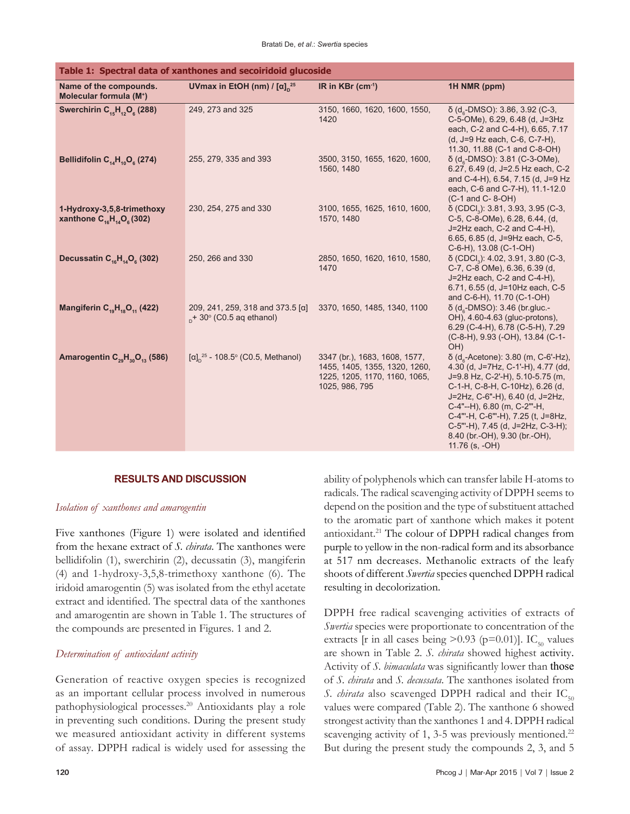| Table 1: Spectral data of xanthones and secoiridoid glucoside     |                                                                              |                                                                                                                   |                                                                                                                                                                                                                                                                                                                                                                       |  |  |
|-------------------------------------------------------------------|------------------------------------------------------------------------------|-------------------------------------------------------------------------------------------------------------------|-----------------------------------------------------------------------------------------------------------------------------------------------------------------------------------------------------------------------------------------------------------------------------------------------------------------------------------------------------------------------|--|--|
| Name of the compounds.<br>Molecular formula (M <sup>+</sup> )     | UVmax in EtOH (nm) / $[\alpha]_n^{25}$                                       | IR in $KBr$ (cm <sup>-1</sup> )                                                                                   | 1H NMR (ppm)                                                                                                                                                                                                                                                                                                                                                          |  |  |
| Swerchirin $C_{15}H_{12}O_{6}$ (288)                              | 249, 273 and 325                                                             | 3150, 1660, 1620, 1600, 1550,<br>1420                                                                             | $\delta$ (d <sub>e</sub> -DMSO): 3.86, 3.92 (C-3,<br>C-5-OMe), 6.29, 6.48 (d, J=3Hz<br>each, C-2 and C-4-H), 6.65, 7.17<br>(d, J=9 Hz each, C-6, C-7-H),<br>11.30, 11.88 (C-1 and C-8-OH)                                                                                                                                                                             |  |  |
| Bellidifolin $C_{14}H_{10}O_{6}$ (274)                            | 255, 279, 335 and 393                                                        | 3500, 3150, 1655, 1620, 1600,<br>1560, 1480                                                                       | $\delta$ (d <sub>e</sub> -DMSO): 3.81 (C-3-OMe),<br>6.27, 6.49 (d, J=2.5 Hz each, C-2<br>and C-4-H), 6.54, 7.15 (d, J=9 Hz<br>each, C-6 and C-7-H), 11.1-12.0<br>$(C-1$ and $C-8-OH)$                                                                                                                                                                                 |  |  |
| 1-Hydroxy-3,5,8-trimethoxy<br>xanthone $C_{16}H_{14}O_{6}$ (302)  | 230, 254, 275 and 330                                                        | 3100, 1655, 1625, 1610, 1600,<br>1570, 1480                                                                       | $\delta$ (CDCl <sub>3</sub> ): 3.81, 3.93, 3.95 (C-3,<br>C-5, C-8-OMe), 6.28, 6.44, (d,<br>J=2Hz each, C-2 and C-4-H),<br>6.65, 6.85 (d, J=9Hz each, C-5,<br>C-6-H), 13.08 (C-1-OH)                                                                                                                                                                                   |  |  |
| Decussatin $C_{16}H_{14}O_{6}$ (302)                              | 250, 266 and 330                                                             | 2850, 1650, 1620, 1610, 1580,<br>1470                                                                             | $\delta$ (CDCl <sub>3</sub> ): 4.02, 3.91, 3.80 (C-3,<br>C-7, C-8 OMe), 6.36, 6.39 (d,<br>J=2Hz each, C-2 and C-4-H),<br>6.71, 6.55 (d, J=10Hz each, C-5<br>and C-6-H), 11.70 (C-1-OH)                                                                                                                                                                                |  |  |
| Mangiferin $C_{19}H_{18}O_{11}$ (422)                             | 209, 241, 259, 318 and 373.5 [α]<br>$h^+$ 30 $\textdegree$ (C0.5 aq ethanol) | 3370, 1650, 1485, 1340, 1100                                                                                      | $\delta$ (d <sub>s</sub> -DMSO): 3.46 (br.gluc.-<br>OH), 4.60-4.63 (gluc-protons),<br>6.29 (C-4-H), 6.78 (C-5-H), 7.29<br>(C-8-H), 9.93 (-OH), 13.84 (C-1-<br>OH)                                                                                                                                                                                                     |  |  |
| Amarogentin C <sub>20</sub> H <sub>30</sub> O <sub>13</sub> (586) | $[\alpha]_0^{25}$ - 108.5 $\textdegree$ (C0.5, Methanol)                     | 3347 (br.), 1683, 1608, 1577,<br>1455, 1405, 1355, 1320, 1260,<br>1225, 1205, 1170, 1160, 1065,<br>1025, 986, 795 | $\delta$ (d <sub>e</sub> -Acetone): 3.80 (m, C-6'-Hz),<br>4.30 (d, J=7Hz, C-1'-H), 4.77 (dd,<br>J=9.8 Hz, C-2'-H), 5.10-5.75 (m,<br>C-1-H, C-8-H, C-10Hz), 6.26 (d,<br>J=2Hz, C-6"-H), 6.40 (d, J=2Hz,<br>C-4"--H), 6.80 (m, C-2"'-H,<br>C-4"'-H, C-6"'-H), 7.25 (t, J=8Hz,<br>C-5"'-H), 7.45 (d, J=2Hz, C-3-H);<br>8.40 (br.-OH), 9.30 (br.-OH),<br>11.76 $(s, -OH)$ |  |  |

# **RESULTS AND DISCUSSION**

## *Isolation of xanthones and amarogentin*

Five xanthones (Figure 1) were isolated and identified from the hexane extract of *S. chirata*. The xanthones were bellidifolin (1), swerchirin (2), decussatin (3), mangiferin (4) and 1-hydroxy-3,5,8-trimethoxy xanthone (6). The iridoid amarogentin (5) was isolated from the ethyl acetate extract and identified. The spectral data of the xanthones and amarogentin are shown in Table 1. The structures of the compounds are presented in Figures. 1 and 2.

#### *Determination of antioxidant activity*

Generation of reactive oxygen species is recognized as an important cellular process involved in numerous pathophysiological processes.<sup>20</sup> Antioxidants play a role in preventing such conditions. During the present study we measured antioxidant activity in different systems of assay. DPPH radical is widely used for assessing the ability of polyphenols which can transfer labile H-atoms to radicals. The radical scavenging activity of DPPH seems to depend on the position and the type of substituent attached to the aromatic part of xanthone which makes it potent antioxidant.21 The colour of DPPH radical changes from purple to yellow in the non-radical form and its absorbance at 517 nm decreases. Methanolic extracts of the leafy shoots of different *Swertia* species quenched DPPH radical resulting in decolorization.

DPPH free radical scavenging activities of extracts of *Swertia* species were proportionate to concentration of the extracts [r in all cases being  $>0.93$  (p=0.01)]. IC<sub>50</sub> values are shown in Table 2. *S. chirata* showed highest activity. Activity of *S. bimaculata* was significantly lower than those of *S. chirata* and *S. decussata*. The xanthones isolated from *S. chirata* also scavenged DPPH radical and their  $IC_{50}$ values were compared (Table 2). The xanthone 6 showed strongest activity than the xanthones 1 and 4. DPPH radical scavenging activity of 1, 3-5 was previously mentioned.<sup>22</sup> But during the present study the compounds 2, 3, and 5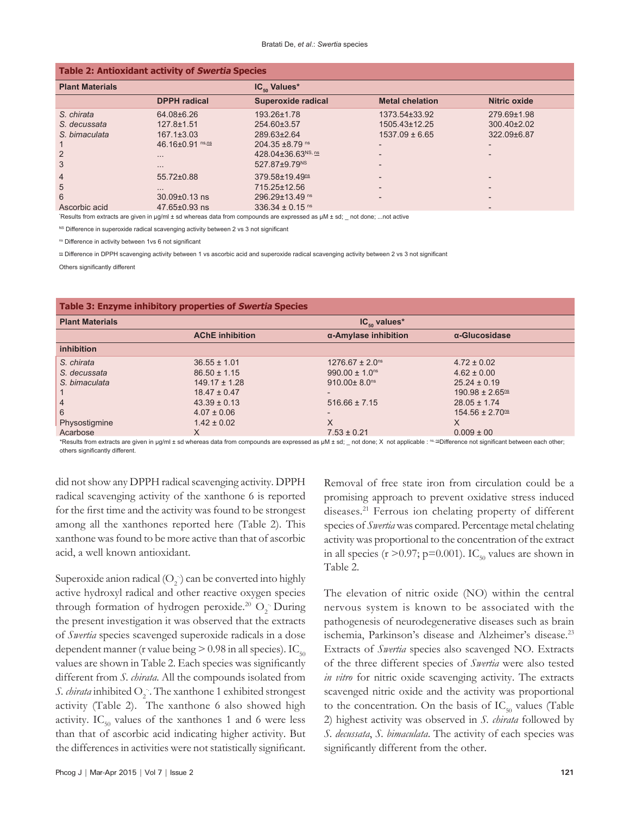| <b>Table 2: Antioxidant activity of Swertia Species</b> |                     |                                 |                          |                          |  |
|---------------------------------------------------------|---------------------|---------------------------------|--------------------------|--------------------------|--|
| <b>Plant Materials</b>                                  |                     | $IC_{\epsilon_0}$ Values*       |                          |                          |  |
|                                                         | <b>DPPH</b> radical | <b>Superoxide radical</b>       | <b>Metal chelation</b>   | Nitric oxide             |  |
| S. chirata                                              | 64.08±6.26          | 193.26±1.78                     | 1373.54±33.92            | 279.69±1.98              |  |
| S. decussata                                            | $127.8 \pm 1.51$    | 254.60±3.57                     | 1505.43±12.25            | $300.40\pm2.02$          |  |
| S. bimaculata                                           | $167.1 \pm 3.03$    | 289.63±2.64                     | $1537.09 \pm 6.65$       | 322.09±6.87              |  |
|                                                         | 46.16±0.91 ns,ns    | $204.35 \pm 8.79$ <sup>ns</sup> |                          |                          |  |
| 2                                                       | $\cdots$            | 428.04±36.63 <sup>NS, ns</sup>  |                          |                          |  |
| 3                                                       | $\cdots$            | 527.87±9.79NS                   | $\overline{\phantom{0}}$ |                          |  |
| $\overline{4}$                                          | 55.72±0.88          | 379.58±19.49 <sup>ns</sup>      |                          |                          |  |
| 5                                                       | $\cdots$            | 715.25±12.56                    | $\overline{\phantom{0}}$ |                          |  |
| 6                                                       | $30.09\pm0.13$ ns   | 296.29±13.49 ns                 |                          | $\overline{\phantom{0}}$ |  |
| Ascorbic acid                                           | $47.65 \pm 0.93$ ns | 336.34 $\pm$ 0.15 ns            |                          |                          |  |

\* Results from extracts are given in µg/ml ± sd whereas data from compounds are expressed as µM ± sd; \_ not done; ...not active

<sup>NS</sup> Difference in superoxide radical scavenging activity between 2 vs 3 not significant

ns Difference in activity between 1vs 6 not significant

ns Difference in DPPH scavenging activity between 1 vs ascorbic acid and superoxide radical scavenging activity between 2 vs 3 not significant

Others significantly different

# **Table 3: Enzyme inhibitory properties of Swertia Species**

| <b>Plant Materials</b> | $IC_{50}$ values*      |                                 |                                 |  |
|------------------------|------------------------|---------------------------------|---------------------------------|--|
|                        | <b>AChE</b> inhibition | $\alpha$ -Amylase inhibition    | α-Glucosidase                   |  |
| inhibition             |                        |                                 |                                 |  |
| S. chirata             | $36.55 \pm 1.01$       | $1276.67 \pm 2.0$ <sup>ns</sup> | $4.72 \pm 0.02$                 |  |
| S. decussata           | $86.50 \pm 1.15$       | $990.00 \pm 1.0$ <sup>ns</sup>  | $4.62 \pm 0.00$                 |  |
| S. bimaculata          | $149.17 \pm 1.28$      | $910.00 \pm 8.0$ <sup>ns</sup>  | $25.24 \pm 0.19$                |  |
|                        | $18.47 \pm 0.47$       | $\overline{\phantom{0}}$        | $190.98 \pm 2.65$ <sup>ns</sup> |  |
| $\overline{4}$         | $43.39 \pm 0.13$       | $516.66 \pm 7.15$               | $28.05 \pm 1.74$                |  |
| 6                      | $4.07 \pm 0.06$        | $\overline{\phantom{0}}$        | $154.56 \pm 2.70$ <sup>ns</sup> |  |
| Physostigmine          | $1.42 \pm 0.02$        | X                               | X                               |  |
| Acarbose               | x                      | $7.53 \pm 0.21$                 | $0.009 \pm 00$                  |  |

\*Results from extracts are given in µg/ml ± sd whereas data from compounds are expressed as µM ± sd; \_ not done; X not applicable : ns. [frerence not significant between each other; others significantly different.

did not show any DPPH radical scavenging activity. DPPH radical scavenging activity of the xanthone 6 is reported for the first time and the activity was found to be strongest among all the xanthones reported here (Table 2). This xanthone was found to be more active than that of ascorbic acid, a well known antioxidant.

Superoxide anion radical  $(O_2^-)$  can be converted into highly active hydroxyl radical and other reactive oxygen species through formation of hydrogen peroxide.<sup>20</sup>  $O_2$  During the present investigation it was observed that the extracts of *Swertia* species scavenged superoxide radicals in a dose dependent manner (r value being  $> 0.98$  in all species). IC<sub>50</sub> values are shown in Table 2. Each species was significantly different from *S. chirata*. All the compounds isolated from S. *chirata* inhibited O<sub>2</sub>. The xanthone 1 exhibited strongest activity (Table 2). The xanthone 6 also showed high activity.  $IC_{50}$  values of the xanthones 1 and 6 were less than that of ascorbic acid indicating higher activity. But the differences in activities were not statistically significant.

Removal of free state iron from circulation could be a promising approach to prevent oxidative stress induced diseases.21 Ferrous ion chelating property of different species of *Swertia* was compared. Percentage metal chelating activity was proportional to the concentration of the extract in all species ( $r > 0.97$ ; p=0.001). IC<sub>50</sub> values are shown in Table 2.

The elevation of nitric oxide (NO) within the central nervous system is known to be associated with the pathogenesis of neurodegenerative diseases such as brain ischemia, Parkinson's disease and Alzheimer's disease.<sup>23</sup> Extracts of *Swertia* species also scavenged NO. Extracts of the three different species of *Swertia* were also tested *in vitro* for nitric oxide scavenging activity. The extracts scavenged nitric oxide and the activity was proportional to the concentration. On the basis of  $IC_{50}$  values (Table 2) highest activity was observed in *S. chirata* followed by *S. decussata*, *S. bimaculata*. The activity of each species was significantly different from the other.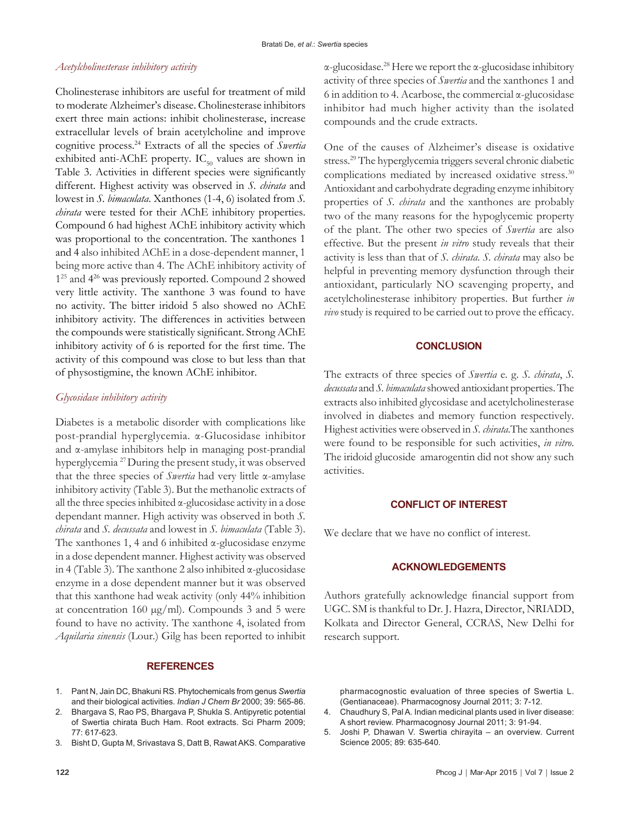## *Acetylcholinesterase inhibitory activity*

Cholinesterase inhibitors are useful for treatment of mild to moderate Alzheimer's disease. Cholinesterase inhibitors exert three main actions: inhibit cholinesterase, increase extracellular levels of brain acetylcholine and improve cognitive process.24 Extracts of all the species of *Swertia* exhibited anti-AChE property.  $IC_{50}$  values are shown in Table 3. Activities in different species were significantly different. Highest activity was observed in *S. chirata* and lowest in *S. bimaculata*. Xanthones (1-4, 6) isolated from *S. chirata* were tested for their AChE inhibitory properties. Compound 6 had highest AChE inhibitory activity which was proportional to the concentration. The xanthones 1 and 4 also inhibited AChE in a dose-dependent manner, 1 being more active than 4. The AChE inhibitory activity of 125 and 426 was previously reported. Compound 2 showed very little activity. The xanthone 3 was found to have no activity. The bitter iridoid 5 also showed no AChE inhibitory activity. The differences in activities between the compounds were statistically significant. Strong AChE inhibitory activity of 6 is reported for the first time. The activity of this compound was close to but less than that of physostigmine, the known AChE inhibitor.

# *Glycosidase inhibitory activity*

Diabetes is a metabolic disorder with complications like post-prandial hyperglycemia. α-Glucosidase inhibitor and α-amylase inhibitors help in managing post-prandial hyperglycemia 27 During the present study, it was observed that the three species of *Swertia* had very little α-amylase inhibitory activity (Table 3). But the methanolic extracts of all the three species inhibited α-glucosidase activity in a dose dependant manner. High activity was observed in both *S. chirata* and *S. decussata* and lowest in *S. bimaculata* (Table 3). The xanthones 1, 4 and 6 inhibited α-glucosidase enzyme in a dose dependent manner. Highest activity was observed in 4 (Table 3). The xanthone 2 also inhibited  $\alpha$ -glucosidase enzyme in a dose dependent manner but it was observed that this xanthone had weak activity (only 44% inhibition at concentration 160  $\mu$ g/ml). Compounds 3 and 5 were found to have no activity. The xanthone 4, isolated from *Aquilaria sinensis* (Lour.) Gilg has been reported to inhibit

#### **REFERENCES**

- 1. Pant N, Jain DC, Bhakuni RS. Phytochemicals from genus *Swertia* and their biological activities. *Indian J Chem Br* 2000; 39: 565-86.
- 2. Bhargava S, Rao PS, Bhargava P, Shukla S. Antipyretic potential of Swertia chirata Buch Ham. Root extracts. Sci Pharm 2009; 77: 617-623.
- 3. Bisht D, Gupta M, Srivastava S, Datt B, Rawat AKS. Comparative

α-glucosidase.<sup>28</sup> Here we report the α-glucosidase inhibitory activity of three species of *Swertia* and the xanthones 1 and 6 in addition to 4. Acarbose, the commercial α-glucosidase inhibitor had much higher activity than the isolated compounds and the crude extracts.

One of the causes of Alzheimer's disease is oxidative stress.29 The hyperglycemia triggers several chronic diabetic complications mediated by increased oxidative stress.<sup>30</sup> Antioxidant and carbohydrate degrading enzyme inhibitory properties of *S. chirata* and the xanthones are probably two of the many reasons for the hypoglycemic property of the plant. The other two species of *Swertia* are also effective. But the present *in vitro* study reveals that their activity is less than that of *S. chirata*. *S. chirata* may also be helpful in preventing memory dysfunction through their antioxidant, particularly NO scavenging property, and acetylcholinesterase inhibitory properties. But further *in vivo* study is required to be carried out to prove the efficacy.

## **CONCLUSION**

The extracts of three species of *Swertia* e. g. *S. chirata*, *S. decussata* and *S. bimaculata* showed antioxidant properties. The extracts also inhibited glycosidase and acetylcholinesterase involved in diabetes and memory function respectively. Highest activities were observed in *S. chirata*.The xanthones were found to be responsible for such activities, *in vitro*. The iridoid glucoside amarogentin did not show any such activities.

## **CONFLICT OF INTEREST**

We declare that we have no conflict of interest.

#### **ACKNOWLEDGEMENTS**

Authors gratefully acknowledge financial support from UGC. SM is thankful to Dr. J. Hazra, Director, NRIADD, Kolkata and Director General, CCRAS, New Delhi for research support.

pharmacognostic evaluation of three species of Swertia L. (Gentianaceae). Pharmacognosy Journal 2011; 3: 7-12.

- 4. Chaudhury S, Pal A. Indian medicinal plants used in liver disease: A short review. Pharmacognosy Journal 2011; 3: 91-94.
- 5. Joshi P, Dhawan V. Swertia chirayita an overview. Current Science 2005; 89: 635-640.